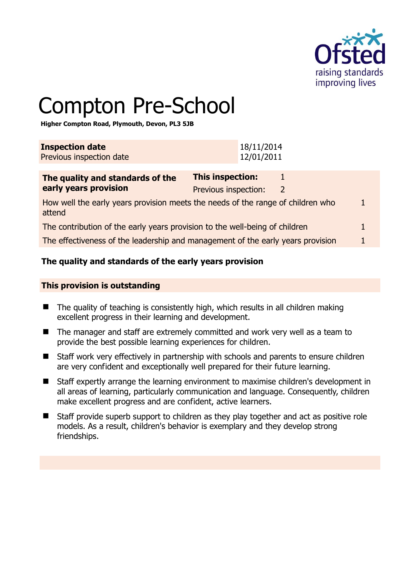

# Compton Pre-School

**Higher Compton Road, Plymouth, Devon, PL3 5JB** 

| <b>Inspection date</b><br>Previous inspection date |  |  |  |  |  | 18/11/2014<br>12/01/2011 |  |  |  |  |
|----------------------------------------------------|--|--|--|--|--|--------------------------|--|--|--|--|
|                                                    |  |  |  |  |  |                          |  |  |  |  |
|                                                    |  |  |  |  |  |                          |  |  |  |  |

| The quality and standards of the                                                          | <b>This inspection:</b> |               |  |
|-------------------------------------------------------------------------------------------|-------------------------|---------------|--|
| early years provision                                                                     | Previous inspection:    | $\mathcal{L}$ |  |
| How well the early years provision meets the needs of the range of children who<br>attend |                         |               |  |
| The contribution of the early years provision to the well-being of children               |                         |               |  |
| The effectiveness of the leadership and management of the early years provision           |                         |               |  |

# **The quality and standards of the early years provision**

#### **This provision is outstanding**

- $\blacksquare$  The quality of teaching is consistently high, which results in all children making excellent progress in their learning and development.
- The manager and staff are extremely committed and work very well as a team to provide the best possible learning experiences for children.
- Staff work very effectively in partnership with schools and parents to ensure children are very confident and exceptionally well prepared for their future learning.
- Staff expertly arrange the learning environment to maximise children's development in all areas of learning, particularly communication and language. Consequently, children make excellent progress and are confident, active learners.
- Staff provide superb support to children as they play together and act as positive role models. As a result, children's behavior is exemplary and they develop strong friendships.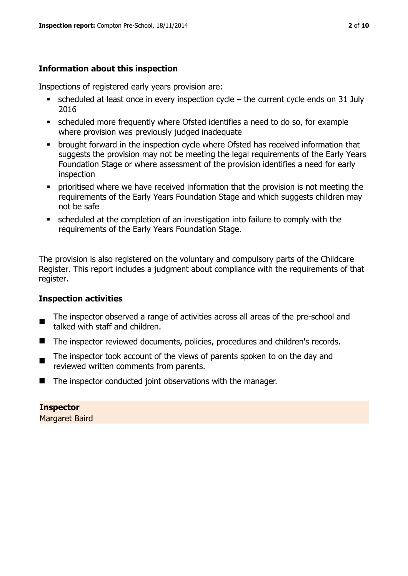# **Information about this inspection**

Inspections of registered early years provision are:

- scheduled at least once in every inspection cycle the current cycle ends on 31 July 2016
- scheduled more frequently where Ofsted identifies a need to do so, for example where provision was previously judged inadequate
- **•** brought forward in the inspection cycle where Ofsted has received information that suggests the provision may not be meeting the legal requirements of the Early Years Foundation Stage or where assessment of the provision identifies a need for early inspection
- **•** prioritised where we have received information that the provision is not meeting the requirements of the Early Years Foundation Stage and which suggests children may not be safe
- scheduled at the completion of an investigation into failure to comply with the requirements of the Early Years Foundation Stage.

The provision is also registered on the voluntary and compulsory parts of the Childcare Register. This report includes a judgment about compliance with the requirements of that register.

# **Inspection activities**

- $\blacksquare$ The inspector observed a range of activities across all areas of the pre-school and talked with staff and children.
- The inspector reviewed documents, policies, procedures and children's records.
- The inspector took account of the views of parents spoken to on the day and reviewed written comments from parents.
- The inspector conducted joint observations with the manager.

**Inspector**  Margaret Baird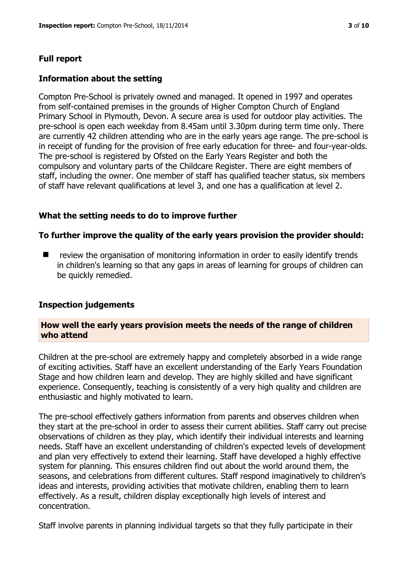# **Full report**

## **Information about the setting**

Compton Pre-School is privately owned and managed. It opened in 1997 and operates from self-contained premises in the grounds of Higher Compton Church of England Primary School in Plymouth, Devon. A secure area is used for outdoor play activities. The pre-school is open each weekday from 8.45am until 3.30pm during term time only. There are currently 42 children attending who are in the early years age range. The pre-school is in receipt of funding for the provision of free early education for three- and four-year-olds. The pre-school is registered by Ofsted on the Early Years Register and both the compulsory and voluntary parts of the Childcare Register. There are eight members of staff, including the owner. One member of staff has qualified teacher status, six members of staff have relevant qualifications at level 3, and one has a qualification at level 2.

# **What the setting needs to do to improve further**

#### **To further improve the quality of the early years provision the provider should:**

 review the organisation of monitoring information in order to easily identify trends in children's learning so that any gaps in areas of learning for groups of children can be quickly remedied.

#### **Inspection judgements**

#### **How well the early years provision meets the needs of the range of children who attend**

Children at the pre-school are extremely happy and completely absorbed in a wide range of exciting activities. Staff have an excellent understanding of the Early Years Foundation Stage and how children learn and develop. They are highly skilled and have significant experience. Consequently, teaching is consistently of a very high quality and children are enthusiastic and highly motivated to learn.

The pre-school effectively gathers information from parents and observes children when they start at the pre-school in order to assess their current abilities. Staff carry out precise observations of children as they play, which identify their individual interests and learning needs. Staff have an excellent understanding of children's expected levels of development and plan very effectively to extend their learning. Staff have developed a highly effective system for planning. This ensures children find out about the world around them, the seasons, and celebrations from different cultures. Staff respond imaginatively to children's ideas and interests, providing activities that motivate children, enabling them to learn effectively. As a result, children display exceptionally high levels of interest and concentration.

Staff involve parents in planning individual targets so that they fully participate in their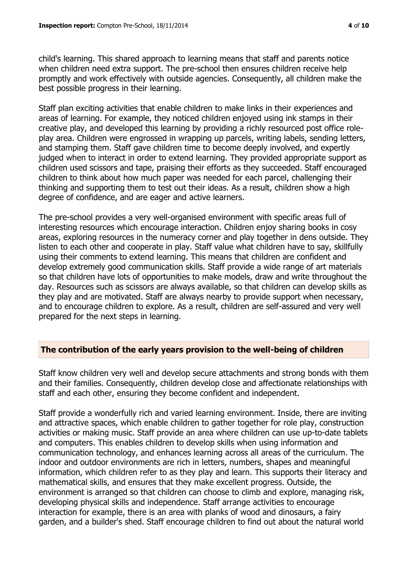child's learning. This shared approach to learning means that staff and parents notice when children need extra support. The pre-school then ensures children receive help promptly and work effectively with outside agencies. Consequently, all children make the best possible progress in their learning.

Staff plan exciting activities that enable children to make links in their experiences and areas of learning. For example, they noticed children enjoyed using ink stamps in their creative play, and developed this learning by providing a richly resourced post office roleplay area. Children were engrossed in wrapping up parcels, writing labels, sending letters, and stamping them. Staff gave children time to become deeply involved, and expertly judged when to interact in order to extend learning. They provided appropriate support as children used scissors and tape, praising their efforts as they succeeded. Staff encouraged children to think about how much paper was needed for each parcel, challenging their thinking and supporting them to test out their ideas. As a result, children show a high degree of confidence, and are eager and active learners.

The pre-school provides a very well-organised environment with specific areas full of interesting resources which encourage interaction. Children enjoy sharing books in cosy areas, exploring resources in the numeracy corner and play together in dens outside. They listen to each other and cooperate in play. Staff value what children have to say, skillfully using their comments to extend learning. This means that children are confident and develop extremely good communication skills. Staff provide a wide range of art materials so that children have lots of opportunities to make models, draw and write throughout the day. Resources such as scissors are always available, so that children can develop skills as they play and are motivated. Staff are always nearby to provide support when necessary, and to encourage children to explore. As a result, children are self-assured and very well prepared for the next steps in learning.

# **The contribution of the early years provision to the well-being of children**

Staff know children very well and develop secure attachments and strong bonds with them and their families. Consequently, children develop close and affectionate relationships with staff and each other, ensuring they become confident and independent.

Staff provide a wonderfully rich and varied learning environment. Inside, there are inviting and attractive spaces, which enable children to gather together for role play, construction activities or making music. Staff provide an area where children can use up-to-date tablets and computers. This enables children to develop skills when using information and communication technology, and enhances learning across all areas of the curriculum. The indoor and outdoor environments are rich in letters, numbers, shapes and meaningful information, which children refer to as they play and learn. This supports their literacy and mathematical skills, and ensures that they make excellent progress. Outside, the environment is arranged so that children can choose to climb and explore, managing risk, developing physical skills and independence. Staff arrange activities to encourage interaction for example, there is an area with planks of wood and dinosaurs, a fairy garden, and a builder's shed. Staff encourage children to find out about the natural world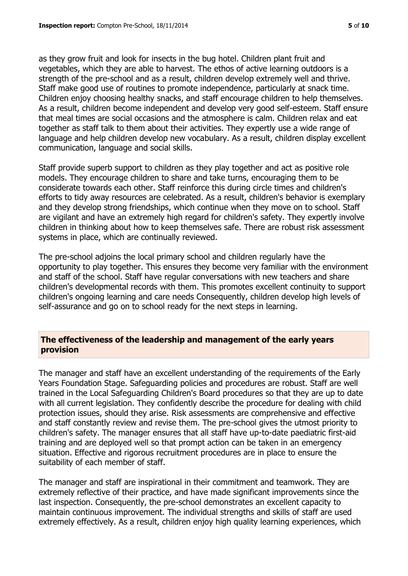as they grow fruit and look for insects in the bug hotel. Children plant fruit and vegetables, which they are able to harvest. The ethos of active learning outdoors is a strength of the pre-school and as a result, children develop extremely well and thrive. Staff make good use of routines to promote independence, particularly at snack time. Children enjoy choosing healthy snacks, and staff encourage children to help themselves. As a result, children become independent and develop very good self-esteem. Staff ensure that meal times are social occasions and the atmosphere is calm. Children relax and eat together as staff talk to them about their activities. They expertly use a wide range of language and help children develop new vocabulary. As a result, children display excellent communication, language and social skills.

Staff provide superb support to children as they play together and act as positive role models. They encourage children to share and take turns, encouraging them to be considerate towards each other. Staff reinforce this during circle times and children's efforts to tidy away resources are celebrated. As a result, children's behavior is exemplary and they develop strong friendships, which continue when they move on to school. Staff are vigilant and have an extremely high regard for children's safety. They expertly involve children in thinking about how to keep themselves safe. There are robust risk assessment systems in place, which are continually reviewed.

The pre-school adjoins the local primary school and children regularly have the opportunity to play together. This ensures they become very familiar with the environment and staff of the school. Staff have regular conversations with new teachers and share children's developmental records with them. This promotes excellent continuity to support children's ongoing learning and care needs Consequently, children develop high levels of self-assurance and go on to school ready for the next steps in learning.

#### **The effectiveness of the leadership and management of the early years provision**

The manager and staff have an excellent understanding of the requirements of the Early Years Foundation Stage. Safeguarding policies and procedures are robust. Staff are well trained in the Local Safeguarding Children's Board procedures so that they are up to date with all current legislation. They confidently describe the procedure for dealing with child protection issues, should they arise. Risk assessments are comprehensive and effective and staff constantly review and revise them. The pre-school gives the utmost priority to children's safety. The manager ensures that all staff have up-to-date paediatric first-aid training and are deployed well so that prompt action can be taken in an emergency situation. Effective and rigorous recruitment procedures are in place to ensure the suitability of each member of staff.

The manager and staff are inspirational in their commitment and teamwork. They are extremely reflective of their practice, and have made significant improvements since the last inspection. Consequently, the pre-school demonstrates an excellent capacity to maintain continuous improvement. The individual strengths and skills of staff are used extremely effectively. As a result, children enjoy high quality learning experiences, which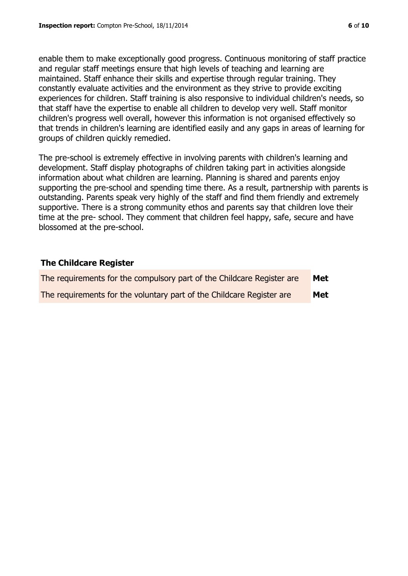enable them to make exceptionally good progress. Continuous monitoring of staff practice and regular staff meetings ensure that high levels of teaching and learning are maintained. Staff enhance their skills and expertise through regular training. They constantly evaluate activities and the environment as they strive to provide exciting experiences for children. Staff training is also responsive to individual children's needs, so that staff have the expertise to enable all children to develop very well. Staff monitor children's progress well overall, however this information is not organised effectively so that trends in children's learning are identified easily and any gaps in areas of learning for groups of children quickly remedied.

The pre-school is extremely effective in involving parents with children's learning and development. Staff display photographs of children taking part in activities alongside information about what children are learning. Planning is shared and parents enjoy supporting the pre-school and spending time there. As a result, partnership with parents is outstanding. Parents speak very highly of the staff and find them friendly and extremely supportive. There is a strong community ethos and parents say that children love their time at the pre- school. They comment that children feel happy, safe, secure and have blossomed at the pre-school.

#### **The Childcare Register**

| The requirements for the compulsory part of the Childcare Register are | Met |
|------------------------------------------------------------------------|-----|
| The requirements for the voluntary part of the Childcare Register are  | Met |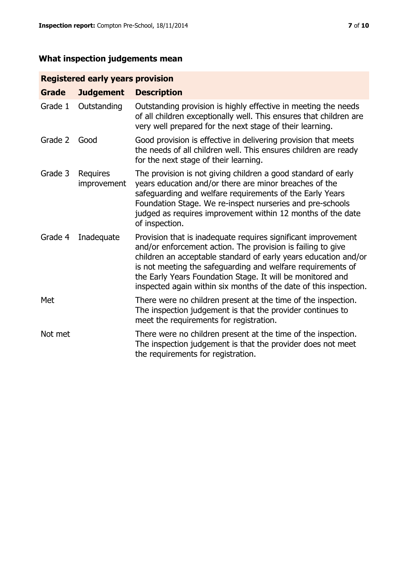# **What inspection judgements mean**

# **Registered early years provision**

| <b>Grade</b> | <b>Judgement</b>               | <b>Description</b>                                                                                                                                                                                                                                                                                                                                                                                |
|--------------|--------------------------------|---------------------------------------------------------------------------------------------------------------------------------------------------------------------------------------------------------------------------------------------------------------------------------------------------------------------------------------------------------------------------------------------------|
| Grade 1      | Outstanding                    | Outstanding provision is highly effective in meeting the needs<br>of all children exceptionally well. This ensures that children are<br>very well prepared for the next stage of their learning.                                                                                                                                                                                                  |
| Grade 2      | Good                           | Good provision is effective in delivering provision that meets<br>the needs of all children well. This ensures children are ready<br>for the next stage of their learning.                                                                                                                                                                                                                        |
| Grade 3      | <b>Requires</b><br>improvement | The provision is not giving children a good standard of early<br>years education and/or there are minor breaches of the<br>safeguarding and welfare requirements of the Early Years<br>Foundation Stage. We re-inspect nurseries and pre-schools<br>judged as requires improvement within 12 months of the date<br>of inspection.                                                                 |
| Grade 4      | Inadequate                     | Provision that is inadequate requires significant improvement<br>and/or enforcement action. The provision is failing to give<br>children an acceptable standard of early years education and/or<br>is not meeting the safeguarding and welfare requirements of<br>the Early Years Foundation Stage. It will be monitored and<br>inspected again within six months of the date of this inspection. |
| Met          |                                | There were no children present at the time of the inspection.<br>The inspection judgement is that the provider continues to<br>meet the requirements for registration.                                                                                                                                                                                                                            |
| Not met      |                                | There were no children present at the time of the inspection.<br>The inspection judgement is that the provider does not meet<br>the requirements for registration.                                                                                                                                                                                                                                |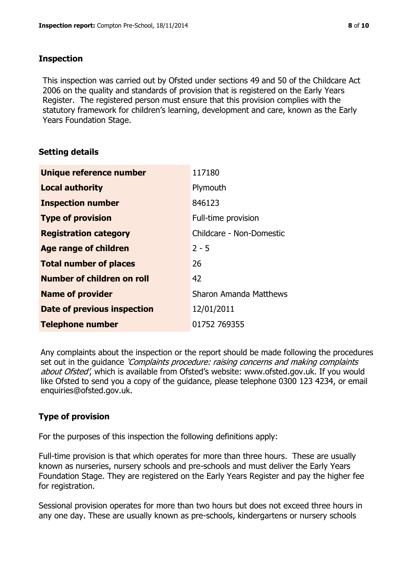# **Inspection**

This inspection was carried out by Ofsted under sections 49 and 50 of the Childcare Act 2006 on the quality and standards of provision that is registered on the Early Years Register. The registered person must ensure that this provision complies with the statutory framework for children's learning, development and care, known as the Early Years Foundation Stage.

# **Setting details**

| Unique reference number       | 117180                   |
|-------------------------------|--------------------------|
| <b>Local authority</b>        | Plymouth                 |
| <b>Inspection number</b>      | 846123                   |
| <b>Type of provision</b>      | Full-time provision      |
| <b>Registration category</b>  | Childcare - Non-Domestic |
| <b>Age range of children</b>  | $2 - 5$                  |
| <b>Total number of places</b> | 26                       |
| Number of children on roll    | 42                       |
| <b>Name of provider</b>       | Sharon Amanda Matthews   |
| Date of previous inspection   | 12/01/2011               |
| <b>Telephone number</b>       | 01752 769355             |

Any complaints about the inspection or the report should be made following the procedures set out in the guidance *'Complaints procedure: raising concerns and making complaints* about Ofsted', which is available from Ofsted's website: www.ofsted.gov.uk. If you would like Ofsted to send you a copy of the guidance, please telephone 0300 123 4234, or email enquiries@ofsted.gov.uk.

# **Type of provision**

For the purposes of this inspection the following definitions apply:

Full-time provision is that which operates for more than three hours. These are usually known as nurseries, nursery schools and pre-schools and must deliver the Early Years Foundation Stage. They are registered on the Early Years Register and pay the higher fee for registration.

Sessional provision operates for more than two hours but does not exceed three hours in any one day. These are usually known as pre-schools, kindergartens or nursery schools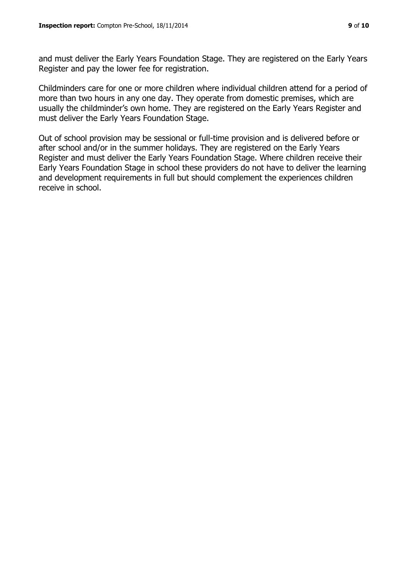and must deliver the Early Years Foundation Stage. They are registered on the Early Years Register and pay the lower fee for registration.

Childminders care for one or more children where individual children attend for a period of more than two hours in any one day. They operate from domestic premises, which are usually the childminder's own home. They are registered on the Early Years Register and must deliver the Early Years Foundation Stage.

Out of school provision may be sessional or full-time provision and is delivered before or after school and/or in the summer holidays. They are registered on the Early Years Register and must deliver the Early Years Foundation Stage. Where children receive their Early Years Foundation Stage in school these providers do not have to deliver the learning and development requirements in full but should complement the experiences children receive in school.